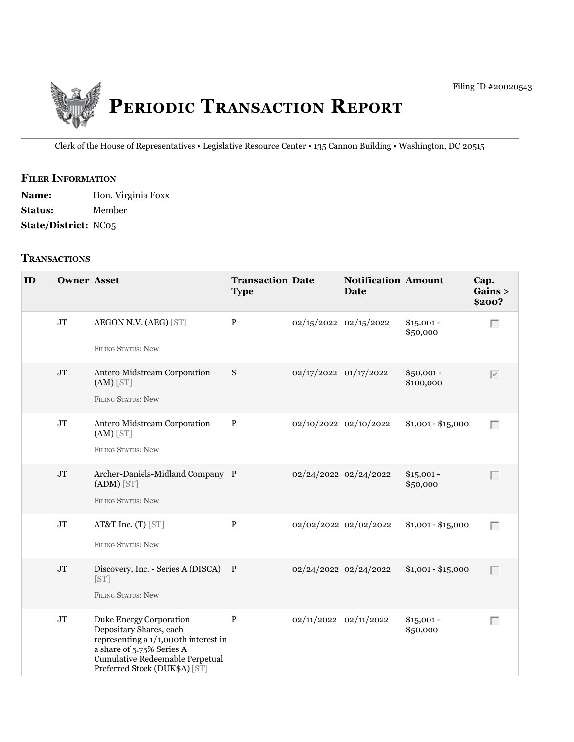

Clerk of the House of Representatives • legislative Resource Center • 135 Cannon Building • Washington, DC 20515

## **fIler INfOrmATION**

Name: Hon. Virginia Foxx **Status:** Member **State/District:** NC05

## **TrANSACTIONS**

| ID | <b>Owner Asset</b> |                                                                                                                                                                                             | <b>Transaction Date</b><br><b>Type</b> |                           | <b>Notification Amount</b><br>Date |                          | Cap.<br>Gains ><br>\$200? |
|----|--------------------|---------------------------------------------------------------------------------------------------------------------------------------------------------------------------------------------|----------------------------------------|---------------------------|------------------------------------|--------------------------|---------------------------|
|    | $\rm JT$           | AEGON N.V. (AEG) [ST]<br><b>FILING STATUS: New</b>                                                                                                                                          | $\mathbf{P}$                           | 02/15/2022 02/15/2022     |                                    | $$15,001 -$<br>\$50,000  | Г                         |
|    | $\rm JT$           | Antero Midstream Corporation<br>$(AM)$ [ST]<br><b>FILING STATUS: New</b>                                                                                                                    | S                                      | 02/17/2022 01/17/2022     |                                    | $$50,001 -$<br>\$100,000 | $\overline{\vee}$         |
|    | $\rm JT$           | Antero Midstream Corporation<br>$(AM)$ [ST]<br><b>FILING STATUS: New</b>                                                                                                                    | $\mathbf{P}$                           | 02/10/2022 02/10/2022     |                                    | $$1,001 - $15,000$       | Г                         |
|    | JT                 | Archer-Daniels-Midland Company P<br>$(ADM)$ [ST]<br><b>FILING STATUS: New</b>                                                                                                               |                                        |                           | 02/24/2022 02/24/2022              | $$15,001 -$<br>\$50,000  | Г                         |
|    | $\rm JT$           | AT&T Inc. (T) [ST]<br><b>FILING STATUS: New</b>                                                                                                                                             | $\mathbf P$                            |                           | 02/02/2022 02/02/2022              | $$1,001 - $15,000$       | Г                         |
|    | $\rm JT$           | Discovery, Inc. - Series A (DISCA) P<br>[ST]<br><b>FILING STATUS: New</b>                                                                                                                   |                                        | 02/24/2022 02/24/2022     |                                    | $$1,001 - $15,000$       | Г                         |
|    | $\rm JT$           | Duke Energy Corporation<br>Depositary Shares, each<br>representing a 1/1,000th interest in<br>a share of 5.75% Series A<br>Cumulative Redeemable Perpetual<br>Preferred Stock (DUK\$A) [ST] | $\, {\bf P}$                           | $02/11/2022$ $02/11/2022$ |                                    | $$15,001 -$<br>\$50,000  | Г                         |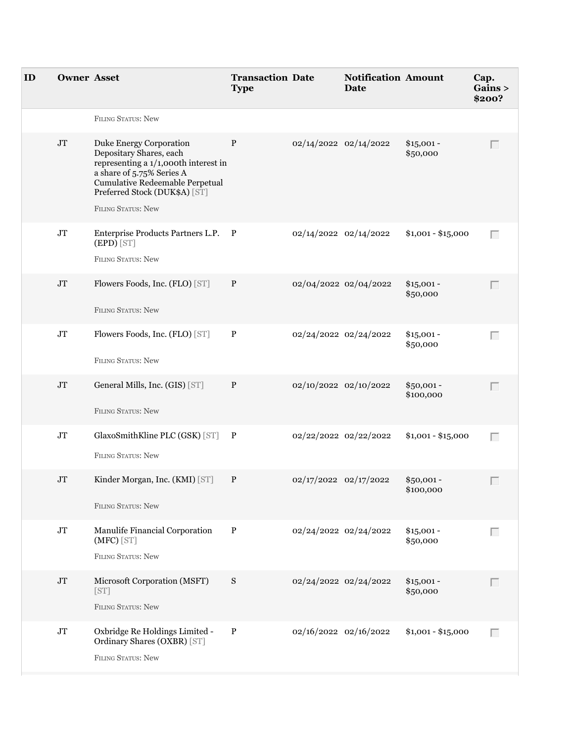| ID | <b>Owner Asset</b> |                                                                                                                                                                                                                          | <b>Transaction Date</b><br><b>Type</b> |                       | <b>Notification Amount</b><br>Date |                          | Cap.<br>Gains ><br>\$200? |
|----|--------------------|--------------------------------------------------------------------------------------------------------------------------------------------------------------------------------------------------------------------------|----------------------------------------|-----------------------|------------------------------------|--------------------------|---------------------------|
|    |                    | <b>FILING STATUS: New</b>                                                                                                                                                                                                |                                        |                       |                                    |                          |                           |
|    | $\rm JT$           | Duke Energy Corporation<br>Depositary Shares, each<br>representing a 1/1,000th interest in<br>a share of 5.75% Series A<br>Cumulative Redeemable Perpetual<br>Preferred Stock (DUK\$A) [ST]<br><b>FILING STATUS: New</b> | P                                      | 02/14/2022 02/14/2022 |                                    | $$15,001 -$<br>\$50,000  |                           |
|    | $\rm JT$           | Enterprise Products Partners L.P. P<br>(EPD) [ST]<br><b>FILING STATUS: New</b>                                                                                                                                           |                                        | 02/14/2022 02/14/2022 |                                    | $$1,001 - $15,000$       | Г                         |
|    | $\rm JT$           | Flowers Foods, Inc. (FLO) [ST]<br>FILING STATUS: New                                                                                                                                                                     | P                                      | 02/04/2022 02/04/2022 |                                    | $$15,001 -$<br>\$50,000  |                           |
|    | $\rm JT$           | Flowers Foods, Inc. (FLO) [ST]<br>FILING STATUS: New                                                                                                                                                                     | P                                      | 02/24/2022 02/24/2022 |                                    | $$15,001 -$<br>\$50,000  | Г                         |
|    | $\rm JT$           | General Mills, Inc. (GIS) [ST]<br><b>FILING STATUS: New</b>                                                                                                                                                              | $\mathbf{P}$                           | 02/10/2022 02/10/2022 |                                    | \$50,001-<br>\$100,000   | Г                         |
|    | $\rm JT$           | GlaxoSmithKline PLC (GSK) [ST] P<br>FILING STATUS: New                                                                                                                                                                   |                                        | 02/22/2022 02/22/2022 |                                    | $$1,001 - $15,000$       | Г                         |
|    | $\rm JT$           | Kinder Morgan, Inc. (KMI) [ST]<br>FILING STATUS: New                                                                                                                                                                     | P                                      | 02/17/2022 02/17/2022 |                                    | $$50,001 -$<br>\$100,000 |                           |
|    | $\rm JT$           | Manulife Financial Corporation<br>(MFC) [ST]<br>FILING STATUS: New                                                                                                                                                       | $\, {\bf P}$                           | 02/24/2022 02/24/2022 |                                    | $$15,001 -$<br>\$50,000  | Г                         |
|    | $\rm JT$           | Microsoft Corporation (MSFT)<br>[ST]<br>FILING STATUS: New                                                                                                                                                               | S                                      | 02/24/2022 02/24/2022 |                                    | $$15,001 -$<br>\$50,000  | Г                         |
|    | $\rm JT$           | Oxbridge Re Holdings Limited -<br>Ordinary Shares (OXBR) [ST]<br>FILING STATUS: New                                                                                                                                      | $\, {\bf P}$                           | 02/16/2022 02/16/2022 |                                    | $$1,001 - $15,000$       | Г                         |